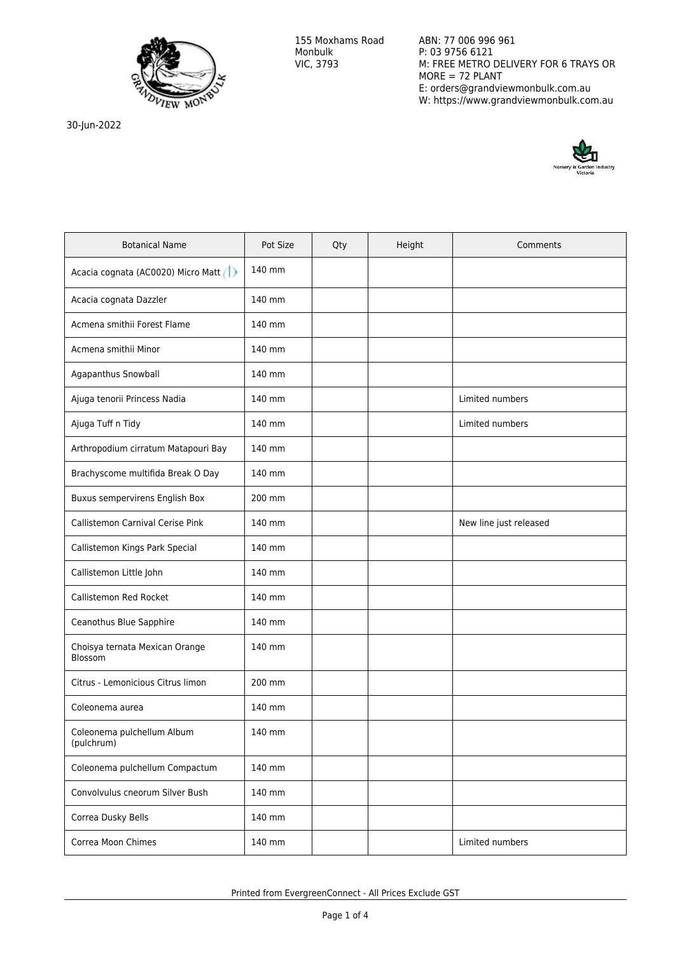

ABN: 77 006 996 961 P: 03 9756 6121 M: FREE METRO DELIVERY FOR 6 TRAYS OR MORE = 72 PLANT E: orders@grandviewmonbulk.com.au W: https://www.grandviewmonbulk.com.au

30-Jun-2022



| <b>Botanical Name</b>                     | Pot Size | Qty | Height | Comments               |
|-------------------------------------------|----------|-----|--------|------------------------|
| Acacia cognata (AC0020) Micro Matt (1)    | 140 mm   |     |        |                        |
| Acacia cognata Dazzler                    | 140 mm   |     |        |                        |
| Acmena smithii Forest Flame               | 140 mm   |     |        |                        |
| Acmena smithii Minor                      | 140 mm   |     |        |                        |
| Agapanthus Snowball                       | 140 mm   |     |        |                        |
| Ajuga tenorii Princess Nadia              | 140 mm   |     |        | Limited numbers        |
| Ajuga Tuff n Tidy                         | 140 mm   |     |        | Limited numbers        |
| Arthropodium cirratum Matapouri Bay       | 140 mm   |     |        |                        |
| Brachyscome multifida Break O Day         | 140 mm   |     |        |                        |
| Buxus sempervirens English Box            | 200 mm   |     |        |                        |
| Callistemon Carnival Cerise Pink          | 140 mm   |     |        | New line just released |
| Callistemon Kings Park Special            | 140 mm   |     |        |                        |
| Callistemon Little John                   | 140 mm   |     |        |                        |
| Callistemon Red Rocket                    | 140 mm   |     |        |                        |
| Ceanothus Blue Sapphire                   | 140 mm   |     |        |                        |
| Choisya ternata Mexican Orange<br>Blossom | 140 mm   |     |        |                        |
| Citrus - Lemonicious Citrus limon         | 200 mm   |     |        |                        |
| Coleonema aurea                           | 140 mm   |     |        |                        |
| Coleonema pulchellum Album<br>(pulchrum)  | 140 mm   |     |        |                        |
| Coleonema pulchellum Compactum            | 140 mm   |     |        |                        |
| Convolvulus cneorum Silver Bush           | 140 mm   |     |        |                        |
| Correa Dusky Bells                        | 140 mm   |     |        |                        |
| Correa Moon Chimes                        | 140 mm   |     |        | Limited numbers        |

Printed from EvergreenConnect - All Prices Exclude GST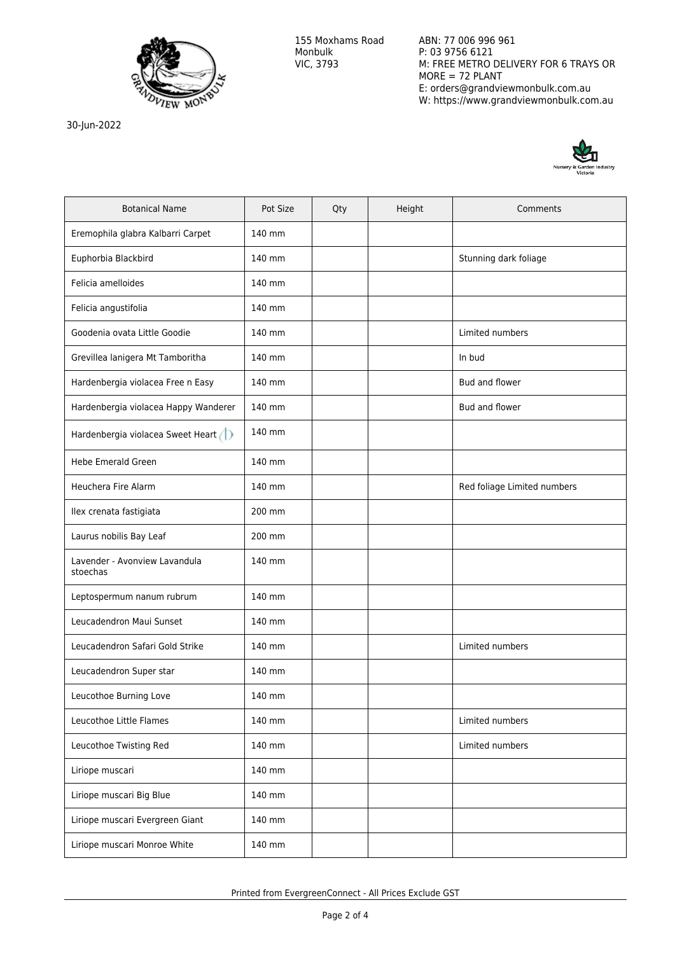

30-Jun-2022

ABN: 77 006 996 961 P: 03 9756 6121 M: FREE METRO DELIVERY FOR 6 TRAYS OR MORE = 72 PLANT E: orders@grandviewmonbulk.com.au W: https://www.grandviewmonbulk.com.au



| <b>Botanical Name</b>                     | Pot Size | Qty | Height | Comments                    |
|-------------------------------------------|----------|-----|--------|-----------------------------|
| Eremophila glabra Kalbarri Carpet         | 140 mm   |     |        |                             |
| Euphorbia Blackbird                       | 140 mm   |     |        | Stunning dark foliage       |
| Felicia amelloides                        | 140 mm   |     |        |                             |
| Felicia angustifolia                      | 140 mm   |     |        |                             |
| Goodenia ovata Little Goodie              | 140 mm   |     |        | Limited numbers             |
| Grevillea lanigera Mt Tamboritha          | 140 mm   |     |        | In bud                      |
| Hardenbergia violacea Free n Easy         | 140 mm   |     |        | Bud and flower              |
| Hardenbergia violacea Happy Wanderer      | 140 mm   |     |        | Bud and flower              |
| Hardenbergia violacea Sweet Heart         | 140 mm   |     |        |                             |
| <b>Hebe Emerald Green</b>                 | 140 mm   |     |        |                             |
| <b>Heuchera Fire Alarm</b>                | 140 mm   |     |        | Red foliage Limited numbers |
| Ilex crenata fastigiata                   | 200 mm   |     |        |                             |
| Laurus nobilis Bay Leaf                   | 200 mm   |     |        |                             |
| Lavender - Avonview Lavandula<br>stoechas | 140 mm   |     |        |                             |
| Leptospermum nanum rubrum                 | 140 mm   |     |        |                             |
| Leucadendron Maui Sunset                  | 140 mm   |     |        |                             |
| Leucadendron Safari Gold Strike           | 140 mm   |     |        | Limited numbers             |
| Leucadendron Super star                   | 140 mm   |     |        |                             |
| Leucothoe Burning Love                    | 140 mm   |     |        |                             |
| Leucothoe Little Flames                   | 140 mm   |     |        | Limited numbers             |
| Leucothoe Twisting Red                    | 140 mm   |     |        | Limited numbers             |
| Liriope muscari                           | 140 mm   |     |        |                             |
| Liriope muscari Big Blue                  | 140 mm   |     |        |                             |
| Liriope muscari Evergreen Giant           | 140 mm   |     |        |                             |
| Liriope muscari Monroe White              | 140 mm   |     |        |                             |

Printed from EvergreenConnect - All Prices Exclude GST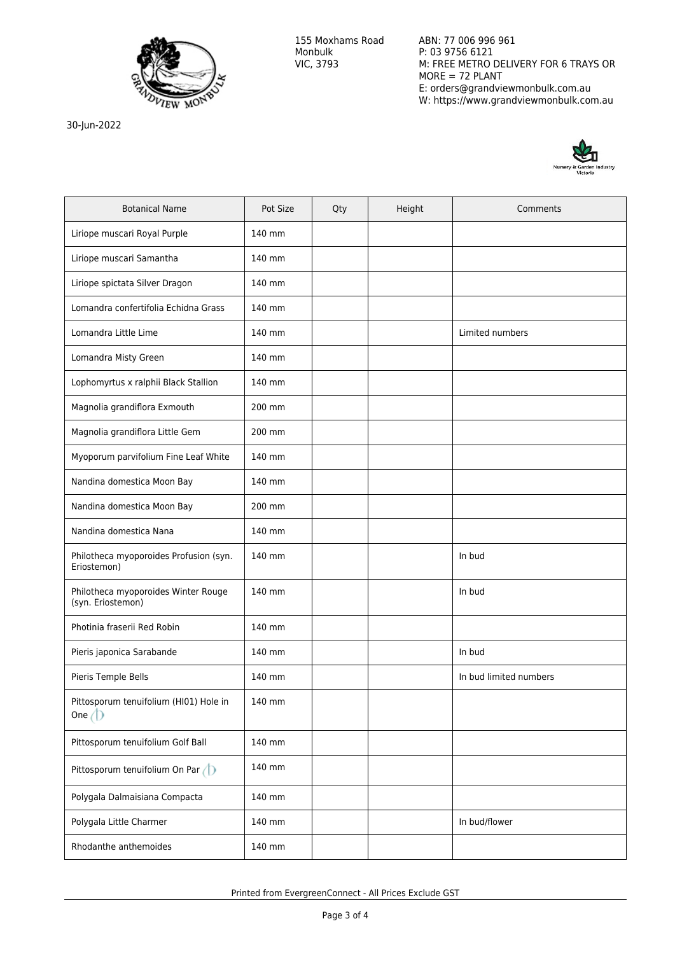

30-Jun-2022

ABN: 77 006 996 961 P: 03 9756 6121 M: FREE METRO DELIVERY FOR 6 TRAYS OR MORE = 72 PLANT E: orders@grandviewmonbulk.com.au W: https://www.grandviewmonbulk.com.au



| <b>Botanical Name</b>                                    | Pot Size | Qty | Height | Comments               |
|----------------------------------------------------------|----------|-----|--------|------------------------|
| Liriope muscari Royal Purple                             | 140 mm   |     |        |                        |
| Liriope muscari Samantha                                 | 140 mm   |     |        |                        |
| Liriope spictata Silver Dragon                           | 140 mm   |     |        |                        |
| Lomandra confertifolia Echidna Grass                     | 140 mm   |     |        |                        |
| Lomandra Little Lime                                     | 140 mm   |     |        | Limited numbers        |
| Lomandra Misty Green                                     | 140 mm   |     |        |                        |
| Lophomyrtus x ralphii Black Stallion                     | 140 mm   |     |        |                        |
| Magnolia grandiflora Exmouth                             | 200 mm   |     |        |                        |
| Magnolia grandiflora Little Gem                          | 200 mm   |     |        |                        |
| Myoporum parvifolium Fine Leaf White                     | 140 mm   |     |        |                        |
| Nandina domestica Moon Bay                               | 140 mm   |     |        |                        |
| Nandina domestica Moon Bay                               | 200 mm   |     |        |                        |
| Nandina domestica Nana                                   | 140 mm   |     |        |                        |
| Philotheca myoporoides Profusion (syn.<br>Eriostemon)    | 140 mm   |     |        | In bud                 |
| Philotheca myoporoides Winter Rouge<br>(syn. Eriostemon) | 140 mm   |     |        | In bud                 |
| Photinia fraserii Red Robin                              | 140 mm   |     |        |                        |
| Pieris japonica Sarabande                                | 140 mm   |     |        | In bud                 |
| Pieris Temple Bells                                      | 140 mm   |     |        | In bud limited numbers |
| Pittosporum tenuifolium (HI01) Hole in<br>One $\bigcirc$ | 140 mm   |     |        |                        |
| Pittosporum tenuifolium Golf Ball                        | 140 mm   |     |        |                        |
| Pittosporum tenuifolium On Par $\bigcirc$                | 140 mm   |     |        |                        |
| Polygala Dalmaisiana Compacta                            | 140 mm   |     |        |                        |
| Polygala Little Charmer                                  | 140 mm   |     |        | In bud/flower          |
| Rhodanthe anthemoides                                    | 140 mm   |     |        |                        |